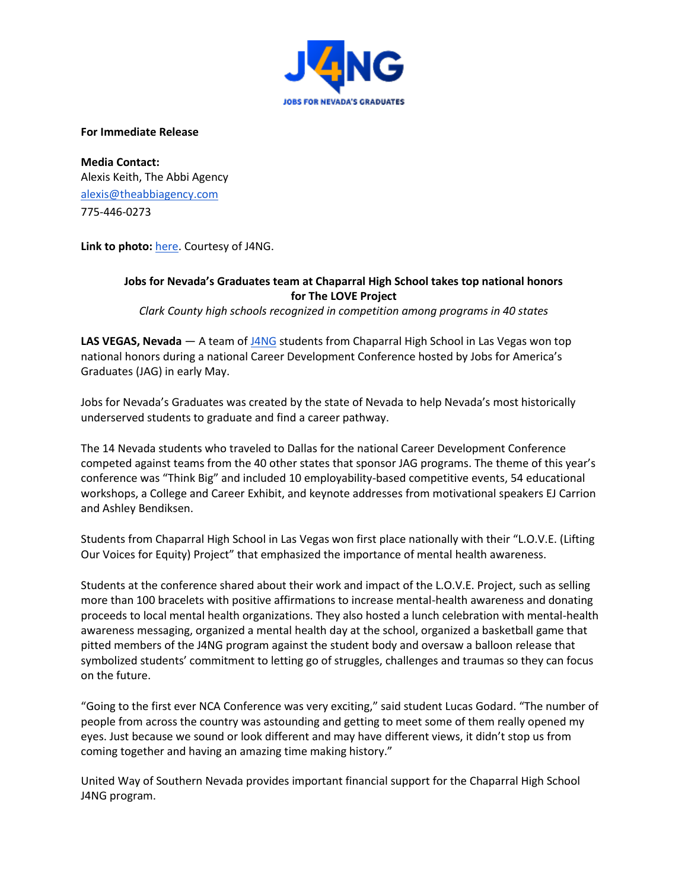

**For Immediate Release**

**Media Contact:** Alexis Keith, The Abbi Agency [alexis@theabbiagency.com](mailto:alexis@theabbiagency.com) 775-446-0273

**Link to photo:** [here.](https://drive.google.com/file/d/1mOXSVbIn7L-3Nnh2FJG_yRErbQbcT5s7/view?usp=sharing) Courtesy of J4NG.

## **Jobs for Nevada's Graduates team at Chaparral High School takes top national honors for The LOVE Project**

*Clark County high schools recognized in competition among programs in 40 states*

**LAS VEGAS, Nevada** — A team of [J4NG](http://www.j4ng.org/) students from Chaparral High School in Las Vegas won top national honors during a national Career Development Conference hosted by Jobs for America's Graduates (JAG) in early May.

Jobs for Nevada's Graduates was created by the state of Nevada to help Nevada's most historically underserved students to graduate and find a career pathway.

The 14 Nevada students who traveled to Dallas for the national Career Development Conference competed against teams from the 40 other states that sponsor JAG programs. The theme of this year's conference was "Think Big" and included 10 employability-based competitive events, 54 educational workshops, a College and Career Exhibit, and keynote addresses from motivational speakers EJ Carrion and Ashley Bendiksen.

Students from Chaparral High School in Las Vegas won first place nationally with their "L.O.V.E. (Lifting Our Voices for Equity) Project" that emphasized the importance of mental health awareness.

Students at the conference shared about their work and impact of the L.O.V.E. Project, such as selling more than 100 bracelets with positive affirmations to increase mental-health awareness and donating proceeds to local mental health organizations. They also hosted a lunch celebration with mental-health awareness messaging, organized a mental health day at the school, organized a basketball game that pitted members of the J4NG program against the student body and oversaw a balloon release that symbolized students' commitment to letting go of struggles, challenges and traumas so they can focus on the future.

"Going to the first ever NCA Conference was very exciting," said student Lucas Godard. "The number of people from across the country was astounding and getting to meet some of them really opened my eyes. Just because we sound or look different and may have different views, it didn't stop us from coming together and having an amazing time making history."

United Way of Southern Nevada provides important financial support for the Chaparral High School J4NG program.